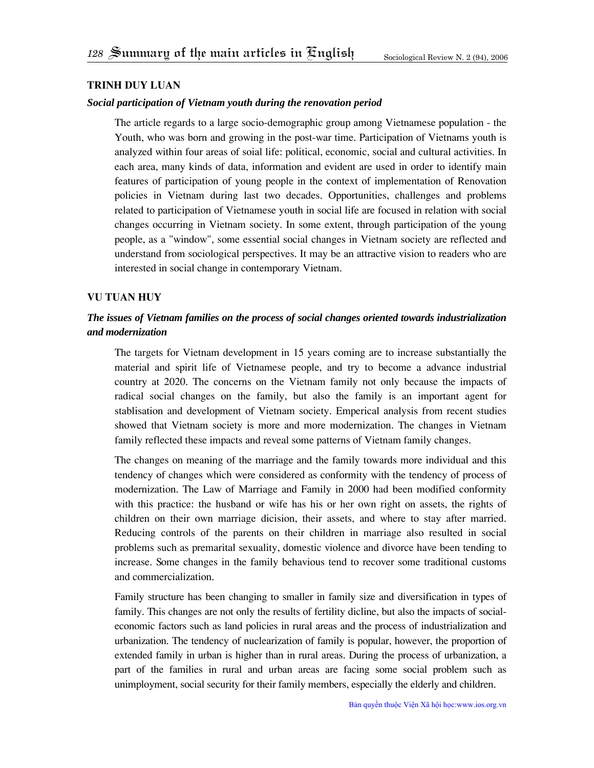# **Trinh duy luan**

#### *Social participation of Vietnam youth during the renovation period*

The article regards to a large socio-demographic group among Vietnamese population - the Youth, who was born and growing in the post-war time. Participation of Vietnams youth is analyzed within four areas of soial life: political, economic, social and cultural activities. In each area, many kinds of data, information and evident are used in order to identify main features of participation of young people in the context of implementation of Renovation policies in Vietnam during last two decades. Opportunities, challenges and problems related to participation of Vietnamese youth in social life are focused in relation with social changes occurring in Vietnam society. In some extent, through participation of the young people, as a "window", some essential social changes in Vietnam society are reflected and understand from sociological perspectives. It may be an attractive vision to readers who are interested in social change in contemporary Vietnam.

#### **Vu tuan huy**

# *The issues of Vietnam families on the process of social changes oriented towards industrialization and modernization*

The targets for Vietnam development in 15 years coming are to increase substantially the material and spirit life of Vietnamese people, and try to become a advance industrial country at 2020. The concerns on the Vietnam family not only because the impacts of radical social changes on the family, but also the family is an important agent for stablisation and development of Vietnam society. Emperical analysis from recent studies showed that Vietnam society is more and more modernization. The changes in Vietnam family reflected these impacts and reveal some patterns of Vietnam family changes.

The changes on meaning of the marriage and the family towards more individual and this tendency of changes which were considered as conformity with the tendency of process of modernization. The Law of Marriage and Family in 2000 had been modified conformity with this practice: the husband or wife has his or her own right on assets, the rights of children on their own marriage dicision, their assets, and where to stay after married. Reducing controls of the parents on their children in marriage also resulted in social problems such as premarital sexuality, domestic violence and divorce have been tending to increase. Some changes in the family behavious tend to recover some traditional customs and commercialization.

Family structure has been changing to smaller in family size and diversification in types of family. This changes are not only the results of fertility dicline, but also the impacts of socialeconomic factors such as land policies in rural areas and the process of industrialization and urbanization. The tendency of nuclearization of family is popular, however, the proportion of extended family in urban is higher than in rural areas. During the process of urbanization, a part of the families in rural and urban areas are facing some social problem such as unimployment, social security for their family members, especially the elderly and children.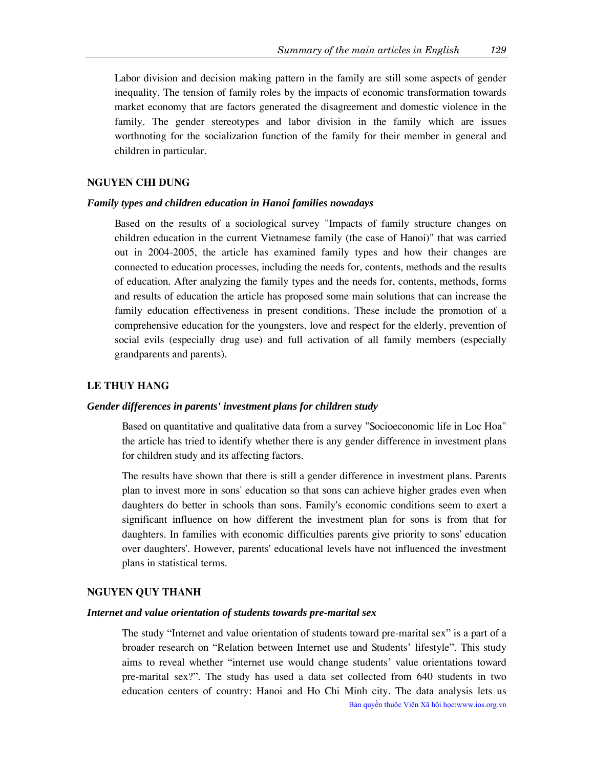Labor division and decision making pattern in the family are still some aspects of gender inequality. The tension of family roles by the impacts of economic transformation towards market economy that are factors generated the disagreement and domestic violence in the family. The gender stereotypes and labor division in the family which are issues worthnoting for the socialization function of the family for their member in general and children in particular.

# **Nguyen chi dung**

### *Family types and children education in Hanoi families nowadays*

Based on the results of a sociological survey "Impacts of family structure changes on children education in the current Vietnamese family (the case of Hanoi)" that was carried out in 2004-2005, the article has examined family types and how their changes are connected to education processes, including the needs for, contents, methods and the results of education. After analyzing the family types and the needs for, contents, methods, forms and results of education the article has proposed some main solutions that can increase the family education effectiveness in present conditions. These include the promotion of a comprehensive education for the youngsters, love and respect for the elderly, prevention of social evils (especially drug use) and full activation of all family members (especially grandparents and parents).

# **Le thuy hang**

#### *Gender differences in parents' investment plans for children study*

Based on quantitative and qualitative data from a survey "Socioeconomic life in Loc Hoa" the article has tried to identify whether there is any gender difference in investment plans for children study and its affecting factors.

The results have shown that there is still a gender difference in investment plans. Parents plan to invest more in sons' education so that sons can achieve higher grades even when daughters do better in schools than sons. Family's economic conditions seem to exert a significant influence on how different the investment plan for sons is from that for daughters. In families with economic difficulties parents give priority to sons' education over daughters'. However, parents' educational levels have not influenced the investment plans in statistical terms.

### **Nguyen quy thanh**

#### *Internet and value orientation of students towards pre-marital sex*

The study "Internet and value orientation of students toward pre-marital sex" is a part of a broader research on "Relation between Internet use and Students' lifestyle". This study aims to reveal whether "internet use would change students' value orientations toward pre-marital sex?". The study has used a data set collected from 640 students in two education centers of country: Hanoi and Ho Chi Minh city. The data analysis lets us Bản quyền thuộc Viện Xã hội học:www.ios.org.vn